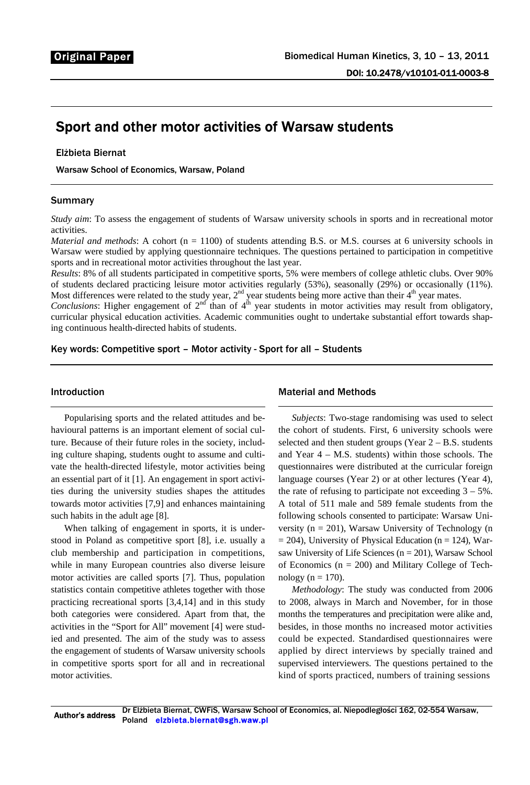# Sport and other motor activities of Warsaw students

# Elżbieta Biernat

Warsaw School of Economics, Warsaw, Poland

# Summary

*Study aim*: To assess the engagement of students of Warsaw university schools in sports and in recreational motor activities.

*Material and methods*: A cohort (n = 1100) of students attending B.S. or M.S. courses at 6 university schools in Warsaw were studied by applying questionnaire techniques. The questions pertained to participation in competitive sports and in recreational motor activities throughout the last year.

*Results*: 8% of all students participated in competitive sports, 5% were members of college athletic clubs. Over 90% of students declared practicing leisure motor activities regularly (53%), seasonally (29%) or occasionally (11%). Most differences were related to the study year,  $2<sup>nd</sup>$  year students being more active than their  $4<sup>th</sup>$  year mates.

*Conclusions*: Higher engagement of  $2<sup>nd</sup>$  than of  $4<sup>th</sup>$  year students in motor activities may result from obligatory, curricular physical education activities. Academic communities ought to undertake substantial effort towards shaping continuous health-directed habits of students.

Key words: Competitive sport – Motor activity - Sport for all – Students

# Introduction

Popularising sports and the related attitudes and behavioural patterns is an important element of social culture. Because of their future roles in the society, including culture shaping, students ought to assume and cultivate the health-directed lifestyle, motor activities being an essential part of it [1]. An engagement in sport activities during the university studies shapes the attitudes towards motor activities [7,9] and enhances maintaining such habits in the adult age [8].

When talking of engagement in sports, it is understood in Poland as competitive sport [8], i.e. usually a club membership and participation in competitions, while in many European countries also diverse leisure motor activities are called sports [7]. Thus, population statistics contain competitive athletes together with those practicing recreational sports [3,4,14] and in this study both categories were considered. Apart from that, the activities in the "Sport for All" movement [4] were studied and presented. The aim of the study was to assess the engagement of students of Warsaw university schools in competitive sports sport for all and in recreational motor activities.

#### Material and Methods

*Subjects*: Two-stage randomising was used to select the cohort of students. First, 6 university schools were selected and then student groups (Year  $2 - B.S.$  students and Year 4 – M.S. students) within those schools. The questionnaires were distributed at the curricular foreign language courses (Year 2) or at other lectures (Year 4), the rate of refusing to participate not exceeding  $3 - 5\%$ . A total of 511 male and 589 female students from the following schools consented to participate: Warsaw University ( $n = 201$ ), Warsaw University of Technology (n  $= 204$ ), University of Physical Education (n  $= 124$ ), Warsaw University of Life Sciences ( $n = 201$ ), Warsaw School of Economics ( $n = 200$ ) and Military College of Technology ( $n = 170$ ).

*Methodology*: The study was conducted from 2006 to 2008, always in March and November, for in those months the temperatures and precipitation were alike and, besides, in those months no increased motor activities could be expected. Standardised questionnaires were applied by direct interviews by specially trained and supervised interviewers. The questions pertained to the kind of sports practiced, numbers of training sessions

Author's address Dr Elżbieta Biernat, CWFiS, Warsaw School of Economics, al. Niepodległości 162, 02-554 Warsaw, Poland elzbieta.biernat@sgh.waw.pl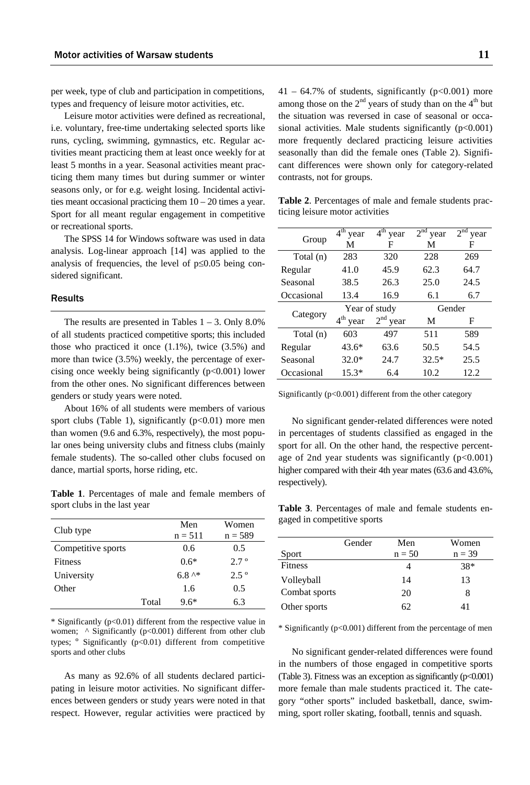per week, type of club and participation in competitions, types and frequency of leisure motor activities, etc.

Leisure motor activities were defined as recreational, i.e. voluntary, free-time undertaking selected sports like runs, cycling, swimming, gymnastics, etc. Regular activities meant practicing them at least once weekly for at least 5 months in a year. Seasonal activities meant practicing them many times but during summer or winter seasons only, or for e.g. weight losing. Incidental activities meant occasional practicing them  $10 - 20$  times a year. Sport for all meant regular engagement in competitive or recreational sports.

The SPSS 14 for Windows software was used in data analysis. Log-linear approach [14] was applied to the analysis of frequencies, the level of p≤0.05 being considered significant.

# Results

The results are presented in Tables  $1 - 3$ . Only 8.0% of all students practiced competitive sports; this included those who practiced it once  $(1.1\%)$ , twice  $(3.5\%)$  and more than twice (3.5%) weekly, the percentage of exercising once weekly being significantly  $(p<0.001)$  lower from the other ones. No significant differences between genders or study years were noted.

About 16% of all students were members of various sport clubs (Table 1), significantly  $(p<0.01)$  more men than women (9.6 and 6.3%, respectively), the most popular ones being university clubs and fitness clubs (mainly female students). The so-called other clubs focused on dance, martial sports, horse riding, etc.

**Table 1**. Percentages of male and female members of sport clubs in the last year

|                    |       | Men               | Women         |
|--------------------|-------|-------------------|---------------|
| Club type          |       | $n = 511$         | $n = 589$     |
| Competitive sports |       | 0.6               | 0.5           |
| <b>Fitness</b>     |       | $0.6*$            | $2.7^{\circ}$ |
| University         |       | $6.8^{\text{A*}}$ | $2.5^{\circ}$ |
| Other              |       | 1.6               | 0.5           |
|                    | Total | $9.6*$            | 6.3           |

\* Significantly (p<0.01) different from the respective value in women; ^ Significantly (p<0.001) different from other club types; º Significantly (p<0.01) different from competitive sports and other clubs

As many as 92.6% of all students declared participating in leisure motor activities. No significant differences between genders or study years were noted in that respect. However, regular activities were practiced by  $41 - 64.7\%$  of students, significantly ( $p < 0.001$ ) more among those on the  $2<sup>nd</sup>$  years of study than on the  $4<sup>th</sup>$  but the situation was reversed in case of seasonal or occasional activities. Male students significantly  $(p<0.001)$ more frequently declared practicing leisure activities seasonally than did the female ones (Table 2). Significant differences were shown only for category-related contrasts, not for groups.

| Table 2. Percentages of male and female students prac- |  |  |  |
|--------------------------------------------------------|--|--|--|
| ticing leisure motor activities                        |  |  |  |

| Group      | $4^{\text{th}}$<br>year | $\overline{4}^{\text{th}}$ year | $2nd$ year | 2 <sup>nd</sup><br>year |
|------------|-------------------------|---------------------------------|------------|-------------------------|
|            | M                       | F                               | M          | F                       |
| Total (n)  | 283                     | 320                             | 228        | 269                     |
| Regular    | 41.0                    | 45.9                            | 62.3       | 64.7                    |
| Seasonal   | 38.5                    | 26.3                            | 25.0       | 24.5                    |
| Occasional | 13.4                    | 16.9                            | 6.1        | 6.7                     |
|            |                         |                                 |            |                         |
|            |                         | Year of study                   |            | Gender                  |
| Category   | $4th$ year              | $2nd$ year                      | M          | F                       |
| Total (n)  | 603                     | 497                             | 511        | 589                     |
| Regular    | $43.6*$                 | 63.6                            | 50.5       | 54.5                    |
| Seasonal   | $32.0*$                 | 24.7                            | $32.5*$    | 25.5                    |

Significantly (p<0.001) different from the other category

No significant gender-related differences were noted in percentages of students classified as engaged in the sport for all. On the other hand, the respective percentage of 2nd year students was significantly  $(p<0.001)$ higher compared with their 4th year mates (63.6 and 43.6%, respectively).

**Table 3**. Percentages of male and female students engaged in competitive sports

|               | Gender | Men      | Women    |
|---------------|--------|----------|----------|
| Sport         |        | $n = 50$ | $n = 39$ |
| Fitness       |        |          | 38*      |
| Volleyball    |        | 14       | 13       |
| Combat sports |        | 20       | 8        |
| Other sports  |        | 62       | 41       |
|               |        |          |          |

\* Significantly (p<0.001) different from the percentage of men

No significant gender-related differences were found in the numbers of those engaged in competitive sports (Table 3). Fitness was an exception as significantly  $(p<0.001)$ more female than male students practiced it. The category "other sports" included basketball, dance, swimming, sport roller skating, football, tennis and squash.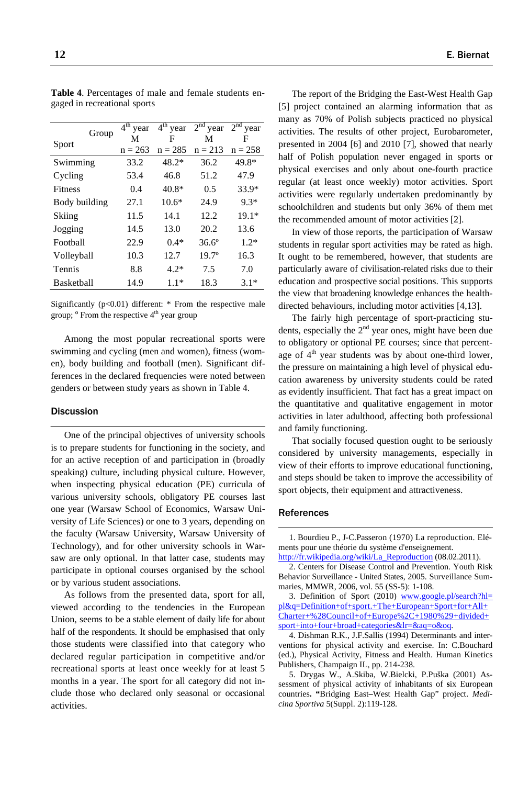|                   |       | 4 <sup>th</sup><br>year | $4th$ year | $2nd$ year     | $2nd$ year |
|-------------------|-------|-------------------------|------------|----------------|------------|
|                   | Group | M                       | F          | М              | F          |
| Sport             |       | $n = 263$               | $n = 285$  | $n = 213$      | $n = 258$  |
| Swimming          |       | 33.2                    | $48.2*$    | 36.2           | 49.8*      |
| Cycling           |       | 53.4                    | 46.8       | 51.2           | 47.9       |
| <b>Fitness</b>    |       | 0.4                     | $40.8*$    | 0.5            | $33.9*$    |
| Body building     |       | 27.1                    | $10.6*$    | 24.9           | $9.3*$     |
| Skiing            |       | 11.5                    | 14.1       | 12.2           | $19.1*$    |
| Jogging           |       | 14.5                    | 13.0       | 20.2           | 13.6       |
| Football          |       | 22.9                    | $0.4*$     | $36.6^{\circ}$ | $1.2*$     |
| Volleyball        |       | 10.3                    | 12.7       | $19.7^{\circ}$ | 16.3       |
| Tennis            |       | 8.8                     | $4.2*$     | 7.5            | 7.0        |
| <b>Basketball</b> |       | 14.9                    | $1.1*$     | 18.3           | $3.1*$     |

**Table 4**. Percentages of male and female students engaged in recreational sports

Significantly (p<0.01) different: \* From the respective male group; <sup>o</sup> From the respective 4<sup>th</sup> year group

Among the most popular recreational sports were swimming and cycling (men and women), fitness (women), body building and football (men). Significant differences in the declared frequencies were noted between genders or between study years as shown in Table 4.

# **Discussion**

One of the principal objectives of university schools is to prepare students for functioning in the society, and for an active reception of and participation in (broadly speaking) culture, including physical culture. However, when inspecting physical education (PE) curricula of various university schools, obligatory PE courses last one year (Warsaw School of Economics, Warsaw University of Life Sciences) or one to 3 years, depending on the faculty (Warsaw University, Warsaw University of Technology), and for other university schools in Warsaw are only optional. In that latter case, students may participate in optional courses organised by the school or by various student associations.

As follows from the presented data, sport for all, viewed according to the tendencies in the European Union, seems to be a stable element of daily life for about half of the respondents. It should be emphasised that only those students were classified into that category who declared regular participation in competitive and/or recreational sports at least once weekly for at least 5 months in a year. The sport for all category did not include those who declared only seasonal or occasional activities.

The report of the Bridging the East-West Health Gap [5] project contained an alarming information that as many as 70% of Polish subjects practiced no physical activities. The results of other project, Eurobarometer, presented in 2004 [6] and 2010 [7], showed that nearly half of Polish population never engaged in sports or physical exercises and only about one-fourth practice regular (at least once weekly) motor activities. Sport activities were regularly undertaken predominantly by schoolchildren and students but only 36% of them met the recommended amount of motor activities [2].

In view of those reports, the participation of Warsaw students in regular sport activities may be rated as high. It ought to be remembered, however, that students are particularly aware of civilisation-related risks due to their education and prospective social positions. This supports the view that broadening knowledge enhances the healthdirected behaviours, including motor activities [4,13].

The fairly high percentage of sport-practicing students, especially the  $2<sup>nd</sup>$  year ones, might have been due to obligatory or optional PE courses; since that percentage of  $4<sup>th</sup>$  year students was by about one-third lower, the pressure on maintaining a high level of physical education awareness by university students could be rated as evidently insufficient. That fact has a great impact on the quantitative and qualitative engagement in motor activities in later adulthood, affecting both professional and family functioning.

That socially focused question ought to be seriously considered by university managements, especially in view of their efforts to improve educational functioning, and steps should be taken to improve the accessibility of sport objects, their equipment and attractiveness.

#### References

1. Bourdieu P., J-C.Passeron (1970) La reproduction. Eléments pour une théorie du système d'enseignement. http://fr.wikipedia.org/wiki/La\_Reproduction (08.02.2011).

2. Centers for Disease Control and Prevention. Youth Risk Behavior Surveillance - United States, 2005. Surveillance Summaries, MMWR, 2006, vol. 55 (SS-5): 1-108.

3. Definition of Sport (2010) www.google.pl/search?hl= pl&q=Definition+of+sport.+The+European+Sport+for+All+ Charter+%28Council+of+Europe%2C+1980%29+divided+ sport+into+four+broad+categories&lr=&aq=o&oq.

4. Dishman R.K., J.F.Sallis (1994) Determinants and interventions for physical activity and exercise. In: C.Bouchard (ed.), Physical Activity, Fitness and Health. Human Kinetics Publishers, Champaign IL, pp. 214-238.

5. Drygas W., A.Skiba, W.Bielcki, P.Puška (2001) Assessment of physical activity of inhabitants of **s**ix European countries**. "**Bridging East**–**West Health Gap" project. *Medicina Sportiva* 5(Suppl. 2):119-128.